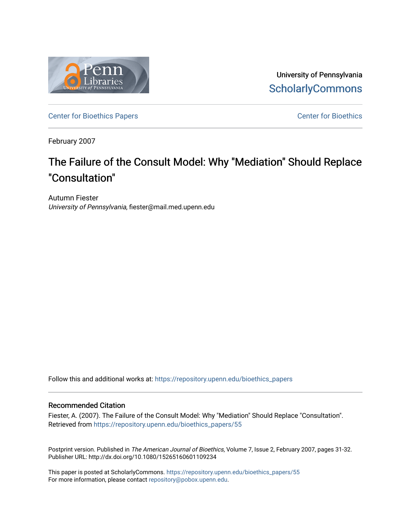

University of Pennsylvania **ScholarlyCommons** 

[Center for Bioethics Papers](https://repository.upenn.edu/bioethics_papers) **Center for Bioethics** 

February 2007

# The Failure of the Consult Model: Why "Mediation" Should Replace "Consultation"

Autumn Fiester University of Pennsylvania, fiester@mail.med.upenn.edu

Follow this and additional works at: [https://repository.upenn.edu/bioethics\\_papers](https://repository.upenn.edu/bioethics_papers?utm_source=repository.upenn.edu%2Fbioethics_papers%2F55&utm_medium=PDF&utm_campaign=PDFCoverPages)

#### Recommended Citation

Fiester, A. (2007). The Failure of the Consult Model: Why "Mediation" Should Replace "Consultation". Retrieved from [https://repository.upenn.edu/bioethics\\_papers/55](https://repository.upenn.edu/bioethics_papers/55?utm_source=repository.upenn.edu%2Fbioethics_papers%2F55&utm_medium=PDF&utm_campaign=PDFCoverPages)

Postprint version. Published in The American Journal of Bioethics, Volume 7, Issue 2, February 2007, pages 31-32. Publisher URL: http://dx.doi.org/10.1080/15265160601109234

This paper is posted at ScholarlyCommons. [https://repository.upenn.edu/bioethics\\_papers/55](https://repository.upenn.edu/bioethics_papers/55)  For more information, please contact [repository@pobox.upenn.edu.](mailto:repository@pobox.upenn.edu)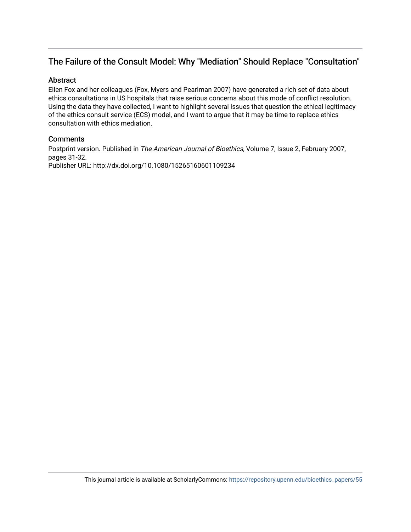## The Failure of the Consult Model: Why "Mediation" Should Replace "Consultation"

#### Abstract

Ellen Fox and her colleagues (Fox, Myers and Pearlman 2007) have generated a rich set of data about ethics consultations in US hospitals that raise serious concerns about this mode of conflict resolution. Using the data they have collected, I want to highlight several issues that question the ethical legitimacy of the ethics consult service (ECS) model, and I want to argue that it may be time to replace ethics consultation with ethics mediation.

#### **Comments**

Postprint version. Published in The American Journal of Bioethics, Volume 7, Issue 2, February 2007, pages 31-32. Publisher URL: http://dx.doi.org/10.1080/15265160601109234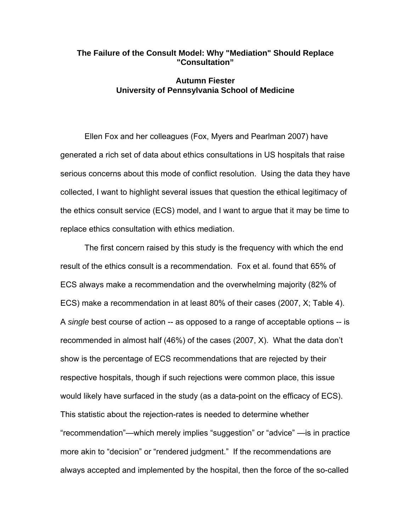#### **The Failure of the Consult Model: Why "Mediation" Should Replace "Consultation"**

#### **Autumn Fiester University of Pennsylvania School of Medicine**

 Ellen Fox and her colleagues (Fox, Myers and Pearlman 2007) have generated a rich set of data about ethics consultations in US hospitals that raise serious concerns about this mode of conflict resolution. Using the data they have collected, I want to highlight several issues that question the ethical legitimacy of the ethics consult service (ECS) model, and I want to argue that it may be time to replace ethics consultation with ethics mediation.

 The first concern raised by this study is the frequency with which the end result of the ethics consult is a recommendation. Fox et al. found that 65% of ECS always make a recommendation and the overwhelming majority (82% of ECS) make a recommendation in at least 80% of their cases (2007, X; Table 4). A *single* best course of action -- as opposed to a range of acceptable options -- is recommended in almost half (46%) of the cases (2007, X). What the data don't show is the percentage of ECS recommendations that are rejected by their respective hospitals, though if such rejections were common place, this issue would likely have surfaced in the study (as a data-point on the efficacy of ECS). This statistic about the rejection-rates is needed to determine whether "recommendation"—which merely implies "suggestion" or "advice" —is in practice more akin to "decision" or "rendered judgment." If the recommendations are always accepted and implemented by the hospital, then the force of the so-called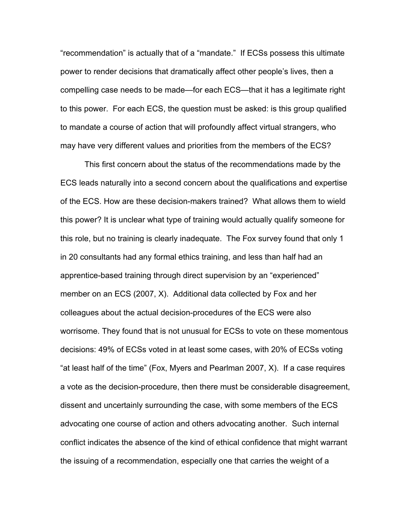"recommendation" is actually that of a "mandate." If ECSs possess this ultimate power to render decisions that dramatically affect other people's lives, then a compelling case needs to be made—for each ECS—that it has a legitimate right to this power. For each ECS, the question must be asked: is this group qualified to mandate a course of action that will profoundly affect virtual strangers, who may have very different values and priorities from the members of the ECS?

 This first concern about the status of the recommendations made by the ECS leads naturally into a second concern about the qualifications and expertise of the ECS. How are these decision-makers trained? What allows them to wield this power? It is unclear what type of training would actually qualify someone for this role, but no training is clearly inadequate. The Fox survey found that only 1 in 20 consultants had any formal ethics training, and less than half had an apprentice-based training through direct supervision by an "experienced" member on an ECS (2007, X). Additional data collected by Fox and her colleagues about the actual decision-procedures of the ECS were also worrisome. They found that is not unusual for ECSs to vote on these momentous decisions: 49% of ECSs voted in at least some cases, with 20% of ECSs voting "at least half of the time" (Fox, Myers and Pearlman 2007, X). If a case requires a vote as the decision-procedure, then there must be considerable disagreement, dissent and uncertainly surrounding the case, with some members of the ECS advocating one course of action and others advocating another. Such internal conflict indicates the absence of the kind of ethical confidence that might warrant the issuing of a recommendation, especially one that carries the weight of a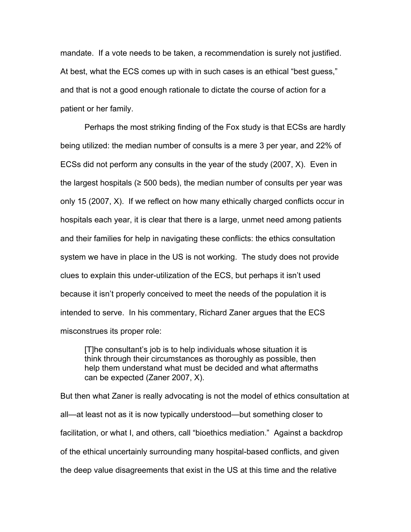mandate. If a vote needs to be taken, a recommendation is surely not justified. At best, what the ECS comes up with in such cases is an ethical "best guess," and that is not a good enough rationale to dictate the course of action for a patient or her family.

 Perhaps the most striking finding of the Fox study is that ECSs are hardly being utilized: the median number of consults is a mere 3 per year, and 22% of ECSs did not perform any consults in the year of the study (2007, X). Even in the largest hospitals ( $\geq$  500 beds), the median number of consults per year was only 15 (2007, X). If we reflect on how many ethically charged conflicts occur in hospitals each year, it is clear that there is a large, unmet need among patients and their families for help in navigating these conflicts: the ethics consultation system we have in place in the US is not working. The study does not provide clues to explain this under-utilization of the ECS, but perhaps it isn't used because it isn't properly conceived to meet the needs of the population it is intended to serve. In his commentary, Richard Zaner argues that the ECS misconstrues its proper role:

[T]he consultant's job is to help individuals whose situation it is think through their circumstances as thoroughly as possible, then help them understand what must be decided and what aftermaths can be expected (Zaner 2007, X).

But then what Zaner is really advocating is not the model of ethics consultation at all—at least not as it is now typically understood—but something closer to facilitation, or what I, and others, call "bioethics mediation." Against a backdrop of the ethical uncertainly surrounding many hospital-based conflicts, and given the deep value disagreements that exist in the US at this time and the relative